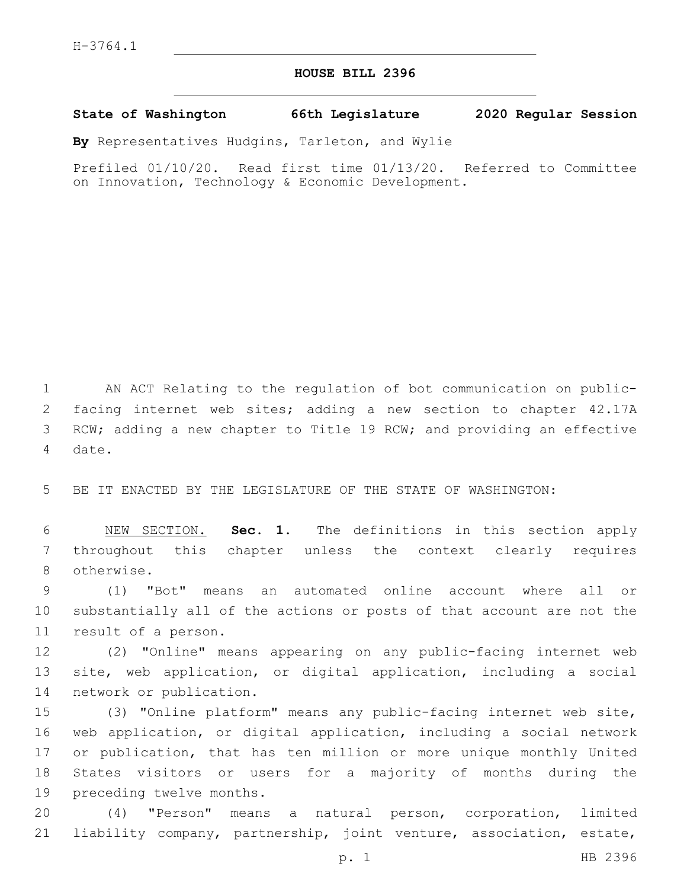## **HOUSE BILL 2396**

**State of Washington 66th Legislature 2020 Regular Session**

**By** Representatives Hudgins, Tarleton, and Wylie

Prefiled 01/10/20. Read first time 01/13/20. Referred to Committee on Innovation, Technology & Economic Development.

1 AN ACT Relating to the regulation of bot communication on public-2 facing internet web sites; adding a new section to chapter 42.17A 3 RCW; adding a new chapter to Title 19 RCW; and providing an effective 4 date.

5 BE IT ENACTED BY THE LEGISLATURE OF THE STATE OF WASHINGTON:

6 NEW SECTION. **Sec. 1.** The definitions in this section apply 7 throughout this chapter unless the context clearly requires 8 otherwise.

9 (1) "Bot" means an automated online account where all or 10 substantially all of the actions or posts of that account are not the 11 result of a person.

12 (2) "Online" means appearing on any public-facing internet web 13 site, web application, or digital application, including a social 14 network or publication.

 (3) "Online platform" means any public-facing internet web site, web application, or digital application, including a social network or publication, that has ten million or more unique monthly United States visitors or users for a majority of months during the 19 preceding twelve months.

20 (4) "Person" means a natural person, corporation, limited 21 liability company, partnership, joint venture, association, estate,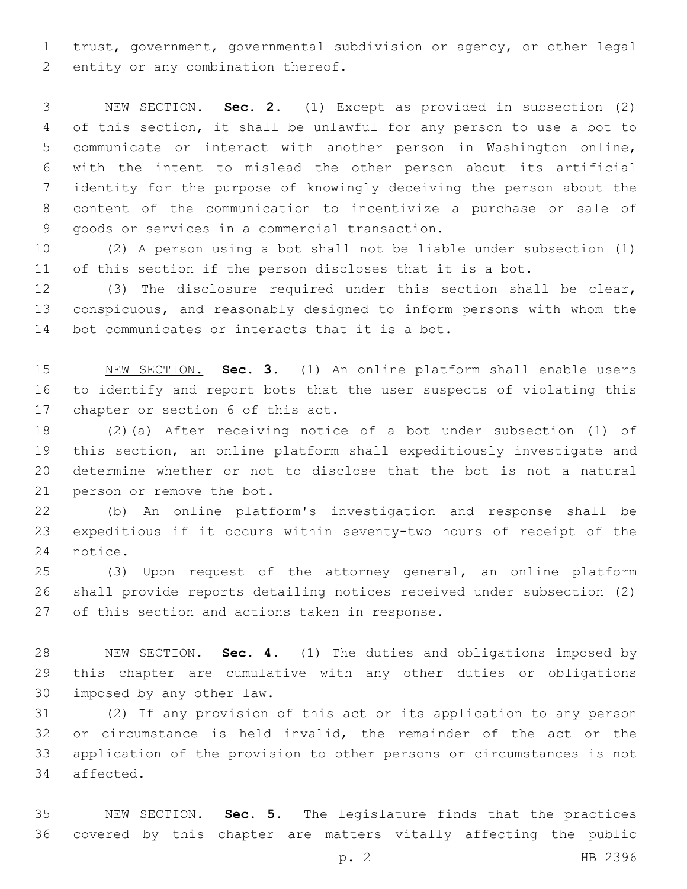trust, government, governmental subdivision or agency, or other legal 2 entity or any combination thereof.

 NEW SECTION. **Sec. 2.** (1) Except as provided in subsection (2) of this section, it shall be unlawful for any person to use a bot to communicate or interact with another person in Washington online, with the intent to mislead the other person about its artificial identity for the purpose of knowingly deceiving the person about the content of the communication to incentivize a purchase or sale of goods or services in a commercial transaction.

 (2) A person using a bot shall not be liable under subsection (1) of this section if the person discloses that it is a bot.

 (3) The disclosure required under this section shall be clear, conspicuous, and reasonably designed to inform persons with whom the 14 bot communicates or interacts that it is a bot.

 NEW SECTION. **Sec. 3.** (1) An online platform shall enable users to identify and report bots that the user suspects of violating this chapter or section 6 of this act.

 (2)(a) After receiving notice of a bot under subsection (1) of this section, an online platform shall expeditiously investigate and determine whether or not to disclose that the bot is not a natural 21 person or remove the bot.

 (b) An online platform's investigation and response shall be expeditious if it occurs within seventy-two hours of receipt of the 24 notice.

 (3) Upon request of the attorney general, an online platform shall provide reports detailing notices received under subsection (2) 27 of this section and actions taken in response.

 NEW SECTION. **Sec. 4.** (1) The duties and obligations imposed by this chapter are cumulative with any other duties or obligations imposed by any other law.

 (2) If any provision of this act or its application to any person or circumstance is held invalid, the remainder of the act or the application of the provision to other persons or circumstances is not 34 affected.

 NEW SECTION. **Sec. 5.** The legislature finds that the practices covered by this chapter are matters vitally affecting the public